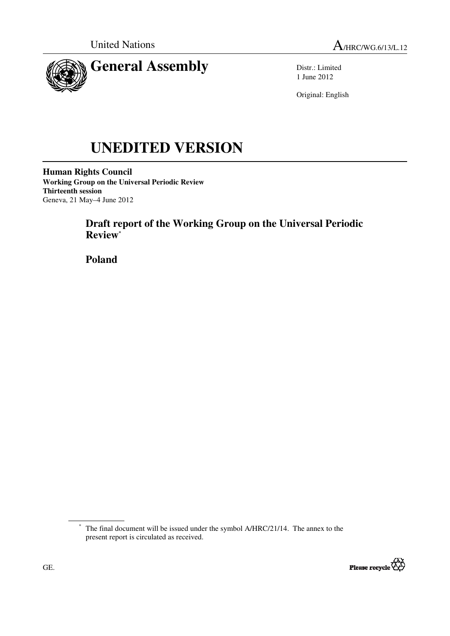



Distr.: Limited 1 June 2012

Original: English

# **UNEDITED VERSION**

**Human Rights Council Working Group on the Universal Periodic Review Thirteenth session**  Geneva, 21 May–4 June 2012

# **Draft report of the Working Group on the Universal Periodic Review\***

 **Poland** 

<sup>\*</sup> The final document will be issued under the symbol A/HRC/21/14. The annex to the present report is circulated as received.

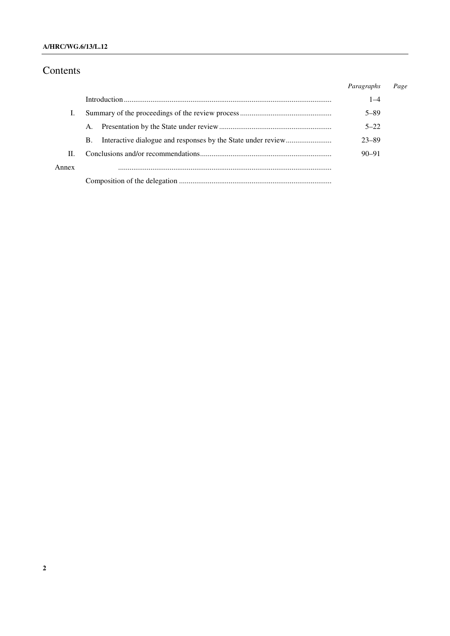# Contents

|       |    | Paragraphs | Page |
|-------|----|------------|------|
|       |    | $1 - 4$    |      |
|       |    | $5 - 89$   |      |
|       | A. | $5 - 22$   |      |
|       | B. | $23 - 89$  |      |
| H.    |    | $90 - 91$  |      |
| Annex |    |            |      |
|       |    |            |      |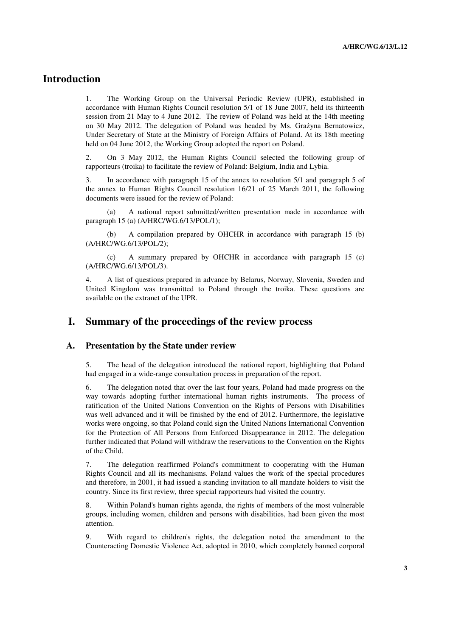# **Introduction**

1. The Working Group on the Universal Periodic Review (UPR), established in accordance with Human Rights Council resolution 5/1 of 18 June 2007, held its thirteenth session from 21 May to 4 June 2012. The review of Poland was held at the 14th meeting on 30 May 2012. The delegation of Poland was headed by Ms. Grażyna Bernatowicz, Under Secretary of State at the Ministry of Foreign Affairs of Poland. At its 18th meeting held on 04 June 2012, the Working Group adopted the report on Poland.

2. On 3 May 2012, the Human Rights Council selected the following group of rapporteurs (troika) to facilitate the review of Poland: Belgium, India and Lybia.

3. In accordance with paragraph 15 of the annex to resolution 5/1 and paragraph 5 of the annex to Human Rights Council resolution 16/21 of 25 March 2011, the following documents were issued for the review of Poland:

 (a) A national report submitted/written presentation made in accordance with paragraph 15 (a) (A/HRC/WG.6/13/POL/1);

 (b) A compilation prepared by OHCHR in accordance with paragraph 15 (b) (A/HRC/WG.6/13/POL/2);

 (c) A summary prepared by OHCHR in accordance with paragraph 15 (c) (A/HRC/WG.6/13/POL/3).

4. A list of questions prepared in advance by Belarus, Norway, Slovenia, Sweden and United Kingdom was transmitted to Poland through the troika. These questions are available on the extranet of the UPR.

## **I. Summary of the proceedings of the review process**

#### **A. Presentation by the State under review**

5. The head of the delegation introduced the national report, highlighting that Poland had engaged in a wide-range consultation process in preparation of the report.

6. The delegation noted that over the last four years, Poland had made progress on the way towards adopting further international human rights instruments. The process of ratification of the United Nations Convention on the Rights of Persons with Disabilities was well advanced and it will be finished by the end of 2012. Furthermore, the legislative works were ongoing, so that Poland could sign the United Nations International Convention for the Protection of All Persons from Enforced Disappearance in 2012. The delegation further indicated that Poland will withdraw the reservations to the Convention on the Rights of the Child.

7. The delegation reaffirmed Poland's commitment to cooperating with the Human Rights Council and all its mechanisms. Poland values the work of the special procedures and therefore, in 2001, it had issued a standing invitation to all mandate holders to visit the country. Since its first review, three special rapporteurs had visited the country.

8. Within Poland's human rights agenda, the rights of members of the most vulnerable groups, including women, children and persons with disabilities, had been given the most attention.

9. With regard to children's rights, the delegation noted the amendment to the Counteracting Domestic Violence Act, adopted in 2010, which completely banned corporal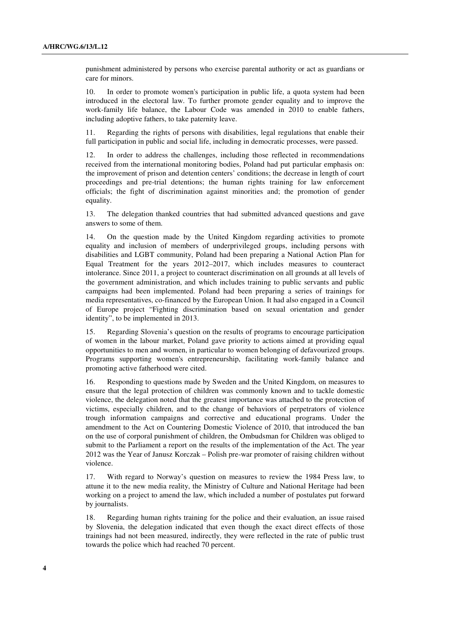punishment administered by persons who exercise parental authority or act as guardians or care for minors.

10. In order to promote women's participation in public life, a quota system had been introduced in the electoral law. To further promote gender equality and to improve the work-family life balance, the Labour Code was amended in 2010 to enable fathers, including adoptive fathers, to take paternity leave.

11. Regarding the rights of persons with disabilities, legal regulations that enable their full participation in public and social life, including in democratic processes, were passed.

12. In order to address the challenges, including those reflected in recommendations received from the international monitoring bodies, Poland had put particular emphasis on: the improvement of prison and detention centers' conditions; the decrease in length of court proceedings and pre-trial detentions; the human rights training for law enforcement officials; the fight of discrimination against minorities and; the promotion of gender equality.

13. The delegation thanked countries that had submitted advanced questions and gave answers to some of them.

14. On the question made by the United Kingdom regarding activities to promote equality and inclusion of members of underprivileged groups, including persons with disabilities and LGBT community, Poland had been preparing a National Action Plan for Equal Treatment for the years 2012–2017, which includes measures to counteract intolerance. Since 2011, a project to counteract discrimination on all grounds at all levels of the government administration, and which includes training to public servants and public campaigns had been implemented. Poland had been preparing a series of trainings for media representatives, co-financed by the European Union. It had also engaged in a Council of Europe project "Fighting discrimination based on sexual orientation and gender identity", to be implemented in 2013.

15. Regarding Slovenia's question on the results of programs to encourage participation of women in the labour market, Poland gave priority to actions aimed at providing equal opportunities to men and women, in particular to women belonging of defavourized groups. Programs supporting women's entrepreneurship, facilitating work-family balance and promoting active fatherhood were cited.

16. Responding to questions made by Sweden and the United Kingdom, on measures to ensure that the legal protection of children was commonly known and to tackle domestic violence, the delegation noted that the greatest importance was attached to the protection of victims, especially children, and to the change of behaviors of perpetrators of violence trough information campaigns and corrective and educational programs. Under the amendment to the Act on Countering Domestic Violence of 2010, that introduced the ban on the use of corporal punishment of children, the Ombudsman for Children was obliged to submit to the Parliament a report on the results of the implementation of the Act. The year 2012 was the Year of Janusz Korczak – Polish pre-war promoter of raising children without violence.

17. With regard to Norway's question on measures to review the 1984 Press law, to attune it to the new media reality, the Ministry of Culture and National Heritage had been working on a project to amend the law, which included a number of postulates put forward by journalists.

18. Regarding human rights training for the police and their evaluation, an issue raised by Slovenia, the delegation indicated that even though the exact direct effects of those trainings had not been measured, indirectly, they were reflected in the rate of public trust towards the police which had reached 70 percent.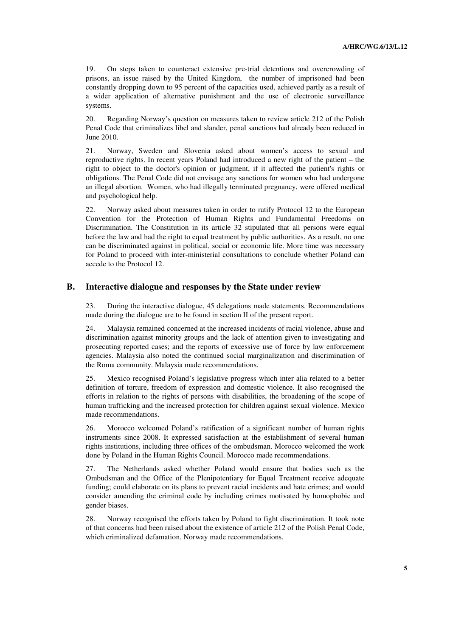19. On steps taken to counteract extensive pre-trial detentions and overcrowding of prisons, an issue raised by the United Kingdom, the number of imprisoned had been constantly dropping down to 95 percent of the capacities used, achieved partly as a result of a wider application of alternative punishment and the use of electronic surveillance systems.

20. Regarding Norway's question on measures taken to review article 212 of the Polish Penal Code that criminalizes libel and slander, penal sanctions had already been reduced in June 2010.

21. Norway, Sweden and Slovenia asked about women's access to sexual and reproductive rights. In recent years Poland had introduced a new right of the patient – the right to object to the doctor's opinion or judgment, if it affected the patient's rights or obligations. The Penal Code did not envisage any sanctions for women who had undergone an illegal abortion. Women, who had illegally terminated pregnancy, were offered medical and psychological help.

22. Norway asked about measures taken in order to ratify Protocol 12 to the European Convention for the Protection of Human Rights and Fundamental Freedoms on Discrimination. The Constitution in its article 32 stipulated that all persons were equal before the law and had the right to equal treatment by public authorities. As a result, no one can be discriminated against in political, social or economic life. More time was necessary for Poland to proceed with inter-ministerial consultations to conclude whether Poland can accede to the Protocol 12.

#### **B. Interactive dialogue and responses by the State under review**

23. During the interactive dialogue, 45 delegations made statements. Recommendations made during the dialogue are to be found in section II of the present report.

24. Malaysia remained concerned at the increased incidents of racial violence, abuse and discrimination against minority groups and the lack of attention given to investigating and prosecuting reported cases; and the reports of excessive use of force by law enforcement agencies. Malaysia also noted the continued social marginalization and discrimination of the Roma community. Malaysia made recommendations.

25. Mexico recognised Poland's legislative progress which inter alia related to a better definition of torture, freedom of expression and domestic violence. It also recognised the efforts in relation to the rights of persons with disabilities, the broadening of the scope of human trafficking and the increased protection for children against sexual violence. Mexico made recommendations.

26. Morocco welcomed Poland's ratification of a significant number of human rights instruments since 2008. It expressed satisfaction at the establishment of several human rights institutions, including three offices of the ombudsman. Morocco welcomed the work done by Poland in the Human Rights Council. Morocco made recommendations.

27. The Netherlands asked whether Poland would ensure that bodies such as the Ombudsman and the Office of the Plenipotentiary for Equal Treatment receive adequate funding; could elaborate on its plans to prevent racial incidents and hate crimes; and would consider amending the criminal code by including crimes motivated by homophobic and gender biases.

28. Norway recognised the efforts taken by Poland to fight discrimination. It took note of that concerns had been raised about the existence of article 212 of the Polish Penal Code, which criminalized defamation. Norway made recommendations.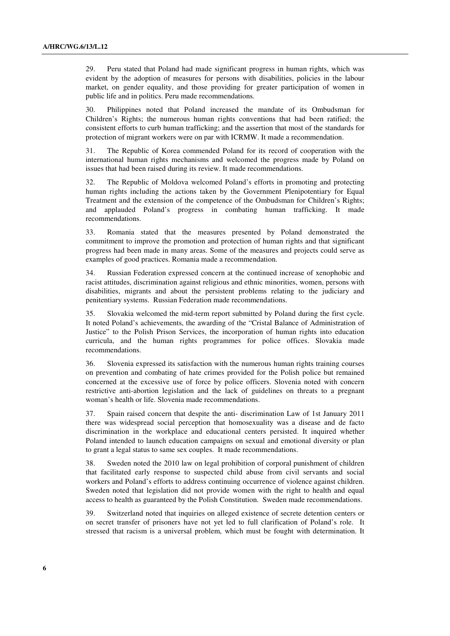29. Peru stated that Poland had made significant progress in human rights, which was evident by the adoption of measures for persons with disabilities, policies in the labour market, on gender equality, and those providing for greater participation of women in public life and in politics. Peru made recommendations.

30. Philippines noted that Poland increased the mandate of its Ombudsman for Children's Rights; the numerous human rights conventions that had been ratified; the consistent efforts to curb human trafficking; and the assertion that most of the standards for protection of migrant workers were on par with ICRMW. It made a recommendation.

31. The Republic of Korea commended Poland for its record of cooperation with the international human rights mechanisms and welcomed the progress made by Poland on issues that had been raised during its review. It made recommendations.

32. The Republic of Moldova welcomed Poland's efforts in promoting and protecting human rights including the actions taken by the Government Plenipotentiary for Equal Treatment and the extension of the competence of the Ombudsman for Children's Rights; and applauded Poland's progress in combating human trafficking. It made recommendations.

33. Romania stated that the measures presented by Poland demonstrated the commitment to improve the promotion and protection of human rights and that significant progress had been made in many areas. Some of the measures and projects could serve as examples of good practices. Romania made a recommendation.

34. Russian Federation expressed concern at the continued increase of xenophobic and racist attitudes, discrimination against religious and ethnic minorities, women, persons with disabilities, migrants and about the persistent problems relating to the judiciary and penitentiary systems. Russian Federation made recommendations.

35. Slovakia welcomed the mid-term report submitted by Poland during the first cycle. It noted Poland's achievements, the awarding of the "Cristal Balance of Administration of Justice" to the Polish Prison Services, the incorporation of human rights into education curricula, and the human rights programmes for police offices. Slovakia made recommendations.

36. Slovenia expressed its satisfaction with the numerous human rights training courses on prevention and combating of hate crimes provided for the Polish police but remained concerned at the excessive use of force by police officers. Slovenia noted with concern restrictive anti-abortion legislation and the lack of guidelines on threats to a pregnant woman's health or life. Slovenia made recommendations.

37. Spain raised concern that despite the anti- discrimination Law of 1st January 2011 there was widespread social perception that homosexuality was a disease and de facto discrimination in the workplace and educational centers persisted. It inquired whether Poland intended to launch education campaigns on sexual and emotional diversity or plan to grant a legal status to same sex couples. It made recommendations.

38. Sweden noted the 2010 law on legal prohibition of corporal punishment of children that facilitated early response to suspected child abuse from civil servants and social workers and Poland's efforts to address continuing occurrence of violence against children. Sweden noted that legislation did not provide women with the right to health and equal access to health as guaranteed by the Polish Constitution. Sweden made recommendations.

39. Switzerland noted that inquiries on alleged existence of secrete detention centers or on secret transfer of prisoners have not yet led to full clarification of Poland's role. It stressed that racism is a universal problem, which must be fought with determination. It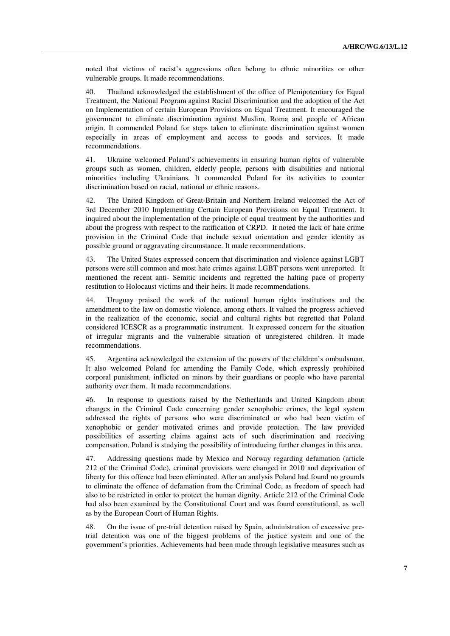noted that victims of racist's aggressions often belong to ethnic minorities or other vulnerable groups. It made recommendations.

40. Thailand acknowledged the establishment of the office of Plenipotentiary for Equal Treatment, the National Program against Racial Discrimination and the adoption of the Act on Implementation of certain European Provisions on Equal Treatment. It encouraged the government to eliminate discrimination against Muslim, Roma and people of African origin. It commended Poland for steps taken to eliminate discrimination against women especially in areas of employment and access to goods and services. It made recommendations.

41. Ukraine welcomed Poland's achievements in ensuring human rights of vulnerable groups such as women, children, elderly people, persons with disabilities and national minorities including Ukrainians. It commended Poland for its activities to counter discrimination based on racial, national or ethnic reasons.

42. The United Kingdom of Great-Britain and Northern Ireland welcomed the Act of 3rd December 2010 Implementing Certain European Provisions on Equal Treatment. It inquired about the implementation of the principle of equal treatment by the authorities and about the progress with respect to the ratification of CRPD. It noted the lack of hate crime provision in the Criminal Code that include sexual orientation and gender identity as possible ground or aggravating circumstance. It made recommendations.

43. The United States expressed concern that discrimination and violence against LGBT persons were still common and most hate crimes against LGBT persons went unreported. It mentioned the recent anti- Semitic incidents and regretted the halting pace of property restitution to Holocaust victims and their heirs. It made recommendations.

44. Uruguay praised the work of the national human rights institutions and the amendment to the law on domestic violence, among others. It valued the progress achieved in the realization of the economic, social and cultural rights but regretted that Poland considered ICESCR as a programmatic instrument. It expressed concern for the situation of irregular migrants and the vulnerable situation of unregistered children. It made recommendations.

45. Argentina acknowledged the extension of the powers of the children's ombudsman. It also welcomed Poland for amending the Family Code, which expressly prohibited corporal punishment, inflicted on minors by their guardians or people who have parental authority over them. It made recommendations.

46. In response to questions raised by the Netherlands and United Kingdom about changes in the Criminal Code concerning gender xenophobic crimes, the legal system addressed the rights of persons who were discriminated or who had been victim of xenophobic or gender motivated crimes and provide protection. The law provided possibilities of asserting claims against acts of such discrimination and receiving compensation. Poland is studying the possibility of introducing further changes in this area.

47. Addressing questions made by Mexico and Norway regarding defamation (article 212 of the Criminal Code), criminal provisions were changed in 2010 and deprivation of liberty for this offence had been eliminated. After an analysis Poland had found no grounds to eliminate the offence of defamation from the Criminal Code, as freedom of speech had also to be restricted in order to protect the human dignity. Article 212 of the Criminal Code had also been examined by the Constitutional Court and was found constitutional, as well as by the European Court of Human Rights.

48. On the issue of pre-trial detention raised by Spain, administration of excessive pretrial detention was one of the biggest problems of the justice system and one of the government's priorities. Achievements had been made through legislative measures such as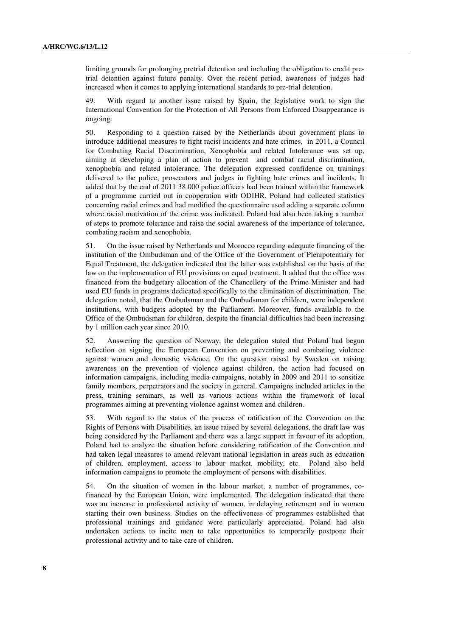limiting grounds for prolonging pretrial detention and including the obligation to credit pretrial detention against future penalty. Over the recent period, awareness of judges had increased when it comes to applying international standards to pre-trial detention.

49. With regard to another issue raised by Spain, the legislative work to sign the International Convention for the Protection of All Persons from Enforced Disappearance is ongoing.

50. Responding to a question raised by the Netherlands about government plans to introduce additional measures to fight racist incidents and hate crimes, in 2011, a Council for Combating Racial Discrimination, Xenophobia and related Intolerance was set up, aiming at developing a plan of action to prevent and combat racial discrimination, xenophobia and related intolerance. The delegation expressed confidence on trainings delivered to the police, prosecutors and judges in fighting hate crimes and incidents. It added that by the end of 2011 38 000 police officers had been trained within the framework of a programme carried out in cooperation with ODIHR. Poland had collected statistics concerning racial crimes and had modified the questionnaire used adding a separate column where racial motivation of the crime was indicated. Poland had also been taking a number of steps to promote tolerance and raise the social awareness of the importance of tolerance, combating racism and xenophobia.

51. On the issue raised by Netherlands and Morocco regarding adequate financing of the institution of the Ombudsman and of the Office of the Government of Plenipotentiary for Equal Treatment, the delegation indicated that the latter was established on the basis of the law on the implementation of EU provisions on equal treatment. It added that the office was financed from the budgetary allocation of the Chancellery of the Prime Minister and had used EU funds in programs dedicated specifically to the elimination of discrimination. The delegation noted, that the Ombudsman and the Ombudsman for children, were independent institutions, with budgets adopted by the Parliament. Moreover, funds available to the Office of the Ombudsman for children, despite the financial difficulties had been increasing by 1 million each year since 2010.

52. Answering the question of Norway, the delegation stated that Poland had begun reflection on signing the European Convention on preventing and combating violence against women and domestic violence. On the question raised by Sweden on raising awareness on the prevention of violence against children, the action had focused on information campaigns, including media campaigns, notably in 2009 and 2011 to sensitize family members, perpetrators and the society in general. Campaigns included articles in the press, training seminars, as well as various actions within the framework of local programmes aiming at preventing violence against women and children.

53. With regard to the status of the process of ratification of the Convention on the Rights of Persons with Disabilities, an issue raised by several delegations, the draft law was being considered by the Parliament and there was a large support in favour of its adoption. Poland had to analyze the situation before considering ratification of the Convention and had taken legal measures to amend relevant national legislation in areas such as education of children, employment, access to labour market, mobility, etc. Poland also held information campaigns to promote the employment of persons with disabilities.

54. On the situation of women in the labour market, a number of programmes, cofinanced by the European Union, were implemented. The delegation indicated that there was an increase in professional activity of women, in delaying retirement and in women starting their own business. Studies on the effectiveness of programmes established that professional trainings and guidance were particularly appreciated. Poland had also undertaken actions to incite men to take opportunities to temporarily postpone their professional activity and to take care of children.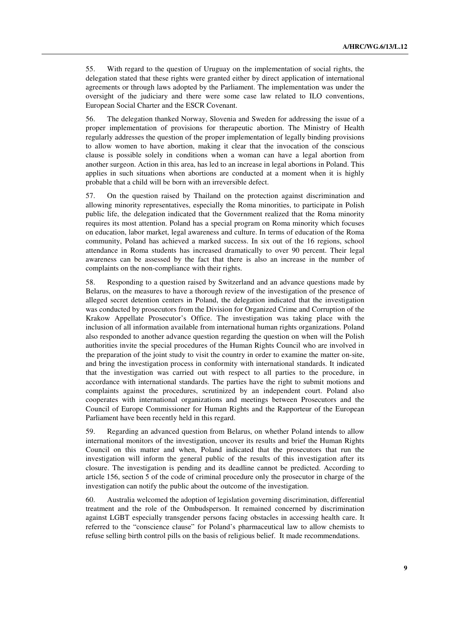55. With regard to the question of Uruguay on the implementation of social rights, the delegation stated that these rights were granted either by direct application of international agreements or through laws adopted by the Parliament. The implementation was under the oversight of the judiciary and there were some case law related to ILO conventions, European Social Charter and the ESCR Covenant.

56. The delegation thanked Norway, Slovenia and Sweden for addressing the issue of a proper implementation of provisions for therapeutic abortion. The Ministry of Health regularly addresses the question of the proper implementation of legally binding provisions to allow women to have abortion, making it clear that the invocation of the conscious clause is possible solely in conditions when a woman can have a legal abortion from another surgeon. Action in this area, has led to an increase in legal abortions in Poland. This applies in such situations when abortions are conducted at a moment when it is highly probable that a child will be born with an irreversible defect.

57. On the question raised by Thailand on the protection against discrimination and allowing minority representatives, especially the Roma minorities, to participate in Polish public life, the delegation indicated that the Government realized that the Roma minority requires its most attention. Poland has a special program on Roma minority which focuses on education, labor market, legal awareness and culture. In terms of education of the Roma community, Poland has achieved a marked success. In six out of the 16 regions, school attendance in Roma students has increased dramatically to over 90 percent. Their legal awareness can be assessed by the fact that there is also an increase in the number of complaints on the non-compliance with their rights.

58. Responding to a question raised by Switzerland and an advance questions made by Belarus, on the measures to have a thorough review of the investigation of the presence of alleged secret detention centers in Poland, the delegation indicated that the investigation was conducted by prosecutors from the Division for Organized Crime and Corruption of the Krakow Appellate Prosecutor's Office. The investigation was taking place with the inclusion of all information available from international human rights organizations. Poland also responded to another advance question regarding the question on when will the Polish authorities invite the special procedures of the Human Rights Council who are involved in the preparation of the joint study to visit the country in order to examine the matter on-site, and bring the investigation process in conformity with international standards. It indicated that the investigation was carried out with respect to all parties to the procedure, in accordance with international standards. The parties have the right to submit motions and complaints against the procedures, scrutinized by an independent court. Poland also cooperates with international organizations and meetings between Prosecutors and the Council of Europe Commissioner for Human Rights and the Rapporteur of the European Parliament have been recently held in this regard.

59. Regarding an advanced question from Belarus, on whether Poland intends to allow international monitors of the investigation, uncover its results and brief the Human Rights Council on this matter and when, Poland indicated that the prosecutors that run the investigation will inform the general public of the results of this investigation after its closure. The investigation is pending and its deadline cannot be predicted. According to article 156, section 5 of the code of criminal procedure only the prosecutor in charge of the investigation can notify the public about the outcome of the investigation.

60. Australia welcomed the adoption of legislation governing discrimination, differential treatment and the role of the Ombudsperson. It remained concerned by discrimination against LGBT especially transgender persons facing obstacles in accessing health care. It referred to the "conscience clause" for Poland's pharmaceutical law to allow chemists to refuse selling birth control pills on the basis of religious belief. It made recommendations.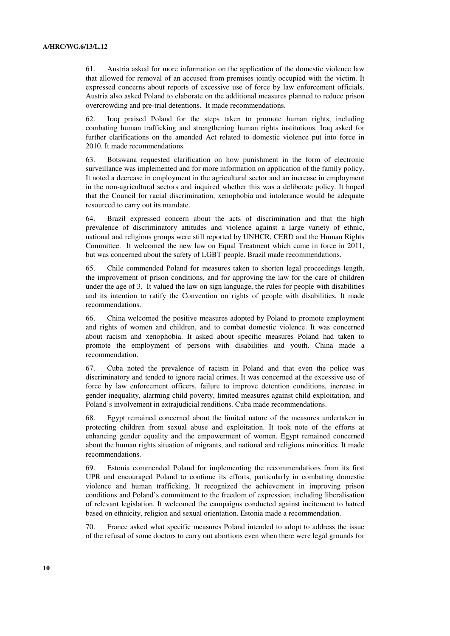61. Austria asked for more information on the application of the domestic violence law that allowed for removal of an accused from premises jointly occupied with the victim. It expressed concerns about reports of excessive use of force by law enforcement officials. Austria also asked Poland to elaborate on the additional measures planned to reduce prison overcrowding and pre-trial detentions. It made recommendations.

62. Iraq praised Poland for the steps taken to promote human rights, including combating human trafficking and strengthening human rights institutions. Iraq asked for further clarifications on the amended Act related to domestic violence put into force in 2010. It made recommendations.

63. Botswana requested clarification on how punishment in the form of electronic surveillance was implemented and for more information on application of the family policy. It noted a decrease in employment in the agricultural sector and an increase in employment in the non-agricultural sectors and inquired whether this was a deliberate policy. It hoped that the Council for racial discrimination, xenophobia and intolerance would be adequate resourced to carry out its mandate.

64. Brazil expressed concern about the acts of discrimination and that the high prevalence of discriminatory attitudes and violence against a large variety of ethnic, national and religious groups were still reported by UNHCR, CERD and the Human Rights Committee. It welcomed the new law on Equal Treatment which came in force in 2011, but was concerned about the safety of LGBT people. Brazil made recommendations.

65. Chile commended Poland for measures taken to shorten legal proceedings length, the improvement of prison conditions, and for approving the law for the care of children under the age of 3. It valued the law on sign language, the rules for people with disabilities and its intention to ratify the Convention on rights of people with disabilities. It made recommendations.

66. China welcomed the positive measures adopted by Poland to promote employment and rights of women and children, and to combat domestic violence. It was concerned about racism and xenophobia. It asked about specific measures Poland had taken to promote the employment of persons with disabilities and youth. China made a recommendation.

67. Cuba noted the prevalence of racism in Poland and that even the police was discriminatory and tended to ignore racial crimes. It was concerned at the excessive use of force by law enforcement officers, failure to improve detention conditions, increase in gender inequality, alarming child poverty, limited measures against child exploitation, and Poland's involvement in extrajudicial renditions. Cuba made recommendations.

68. Egypt remained concerned about the limited nature of the measures undertaken in protecting children from sexual abuse and exploitation. It took note of the efforts at enhancing gender equality and the empowerment of women. Egypt remained concerned about the human rights situation of migrants, and national and religious minorities. It made recommendations.

69. Estonia commended Poland for implementing the recommendations from its first UPR and encouraged Poland to continue its efforts, particularly in combating domestic violence and human trafficking. It recognized the achievement in improving prison conditions and Poland's commitment to the freedom of expression, including liberalisation of relevant legislation. It welcomed the campaigns conducted against incitement to hatred based on ethnicity, religion and sexual orientation. Estonia made a recommendation.

70. France asked what specific measures Poland intended to adopt to address the issue of the refusal of some doctors to carry out abortions even when there were legal grounds for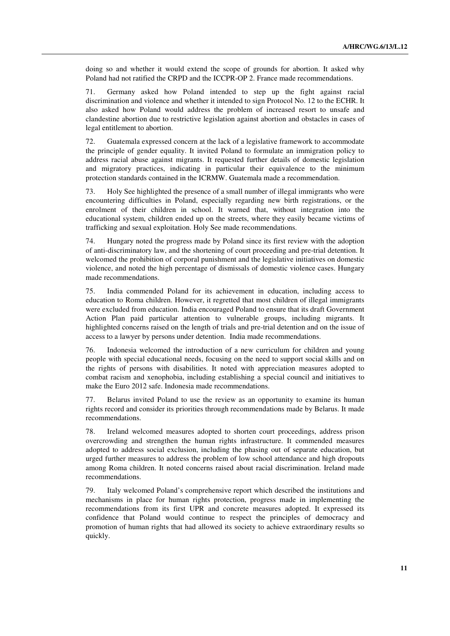doing so and whether it would extend the scope of grounds for abortion. It asked why Poland had not ratified the CRPD and the ICCPR-OP 2. France made recommendations.

71. Germany asked how Poland intended to step up the fight against racial discrimination and violence and whether it intended to sign Protocol No. 12 to the ECHR. It also asked how Poland would address the problem of increased resort to unsafe and clandestine abortion due to restrictive legislation against abortion and obstacles in cases of legal entitlement to abortion.

72. Guatemala expressed concern at the lack of a legislative framework to accommodate the principle of gender equality. It invited Poland to formulate an immigration policy to address racial abuse against migrants. It requested further details of domestic legislation and migratory practices, indicating in particular their equivalence to the minimum protection standards contained in the ICRMW. Guatemala made a recommendation.

73. Holy See highlighted the presence of a small number of illegal immigrants who were encountering difficulties in Poland, especially regarding new birth registrations, or the enrolment of their children in school. It warned that, without integration into the educational system, children ended up on the streets, where they easily became victims of trafficking and sexual exploitation. Holy See made recommendations.

74. Hungary noted the progress made by Poland since its first review with the adoption of anti-discriminatory law, and the shortening of court proceeding and pre-trial detention. It welcomed the prohibition of corporal punishment and the legislative initiatives on domestic violence, and noted the high percentage of dismissals of domestic violence cases. Hungary made recommendations.

75. India commended Poland for its achievement in education, including access to education to Roma children. However, it regretted that most children of illegal immigrants were excluded from education. India encouraged Poland to ensure that its draft Government Action Plan paid particular attention to vulnerable groups, including migrants. It highlighted concerns raised on the length of trials and pre-trial detention and on the issue of access to a lawyer by persons under detention. India made recommendations.

Indonesia welcomed the introduction of a new curriculum for children and young people with special educational needs, focusing on the need to support social skills and on the rights of persons with disabilities. It noted with appreciation measures adopted to combat racism and xenophobia, including establishing a special council and initiatives to make the Euro 2012 safe. Indonesia made recommendations.

77. Belarus invited Poland to use the review as an opportunity to examine its human rights record and consider its priorities through recommendations made by Belarus. It made recommendations.

78. Ireland welcomed measures adopted to shorten court proceedings, address prison overcrowding and strengthen the human rights infrastructure. It commended measures adopted to address social exclusion, including the phasing out of separate education, but urged further measures to address the problem of low school attendance and high dropouts among Roma children. It noted concerns raised about racial discrimination. Ireland made recommendations.

79. Italy welcomed Poland's comprehensive report which described the institutions and mechanisms in place for human rights protection, progress made in implementing the recommendations from its first UPR and concrete measures adopted. It expressed its confidence that Poland would continue to respect the principles of democracy and promotion of human rights that had allowed its society to achieve extraordinary results so quickly.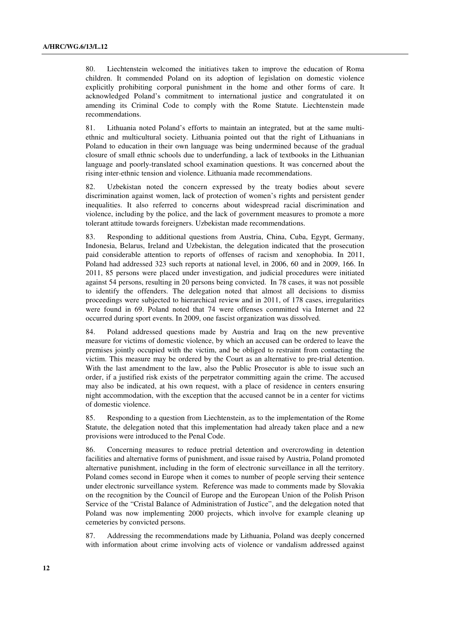80. Liechtenstein welcomed the initiatives taken to improve the education of Roma children. It commended Poland on its adoption of legislation on domestic violence explicitly prohibiting corporal punishment in the home and other forms of care. It acknowledged Poland's commitment to international justice and congratulated it on amending its Criminal Code to comply with the Rome Statute. Liechtenstein made recommendations.

81. Lithuania noted Poland's efforts to maintain an integrated, but at the same multiethnic and multicultural society. Lithuania pointed out that the right of Lithuanians in Poland to education in their own language was being undermined because of the gradual closure of small ethnic schools due to underfunding, a lack of textbooks in the Lithuanian language and poorly-translated school examination questions. It was concerned about the rising inter-ethnic tension and violence. Lithuania made recommendations.

82. Uzbekistan noted the concern expressed by the treaty bodies about severe discrimination against women, lack of protection of women's rights and persistent gender inequalities. It also referred to concerns about widespread racial discrimination and violence, including by the police, and the lack of government measures to promote a more tolerant attitude towards foreigners. Uzbekistan made recommendations.

83. Responding to additional questions from Austria, China, Cuba, Egypt, Germany, Indonesia, Belarus, Ireland and Uzbekistan, the delegation indicated that the prosecution paid considerable attention to reports of offenses of racism and xenophobia. In 2011, Poland had addressed 323 such reports at national level, in 2006, 60 and in 2009, 166. In 2011, 85 persons were placed under investigation, and judicial procedures were initiated against 54 persons, resulting in 20 persons being convicted. In 78 cases, it was not possible to identify the offenders. The delegation noted that almost all decisions to dismiss proceedings were subjected to hierarchical review and in 2011, of 178 cases, irregularities were found in 69. Poland noted that 74 were offenses committed via Internet and 22 occurred during sport events. In 2009, one fascist organization was dissolved.

84. Poland addressed questions made by Austria and Iraq on the new preventive measure for victims of domestic violence, by which an accused can be ordered to leave the premises jointly occupied with the victim, and be obliged to restraint from contacting the victim. This measure may be ordered by the Court as an alternative to pre-trial detention. With the last amendment to the law, also the Public Prosecutor is able to issue such an order, if a justified risk exists of the perpetrator committing again the crime. The accused may also be indicated, at his own request, with a place of residence in centers ensuring night accommodation, with the exception that the accused cannot be in a center for victims of domestic violence.

85. Responding to a question from Liechtenstein, as to the implementation of the Rome Statute, the delegation noted that this implementation had already taken place and a new provisions were introduced to the Penal Code.

86. Concerning measures to reduce pretrial detention and overcrowding in detention facilities and alternative forms of punishment, and issue raised by Austria, Poland promoted alternative punishment, including in the form of electronic surveillance in all the territory. Poland comes second in Europe when it comes to number of people serving their sentence under electronic surveillance system. Reference was made to comments made by Slovakia on the recognition by the Council of Europe and the European Union of the Polish Prison Service of the "Cristal Balance of Administration of Justice", and the delegation noted that Poland was now implementing 2000 projects, which involve for example cleaning up cemeteries by convicted persons.

87. Addressing the recommendations made by Lithuania, Poland was deeply concerned with information about crime involving acts of violence or vandalism addressed against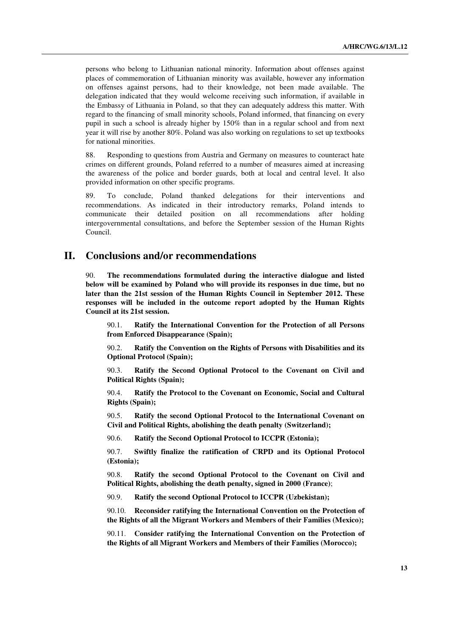persons who belong to Lithuanian national minority. Information about offenses against places of commemoration of Lithuanian minority was available, however any information on offenses against persons, had to their knowledge, not been made available. The delegation indicated that they would welcome receiving such information, if available in the Embassy of Lithuania in Poland, so that they can adequately address this matter. With regard to the financing of small minority schools, Poland informed, that financing on every pupil in such a school is already higher by 150% than in a regular school and from next year it will rise by another 80%. Poland was also working on regulations to set up textbooks for national minorities.

88. Responding to questions from Austria and Germany on measures to counteract hate crimes on different grounds, Poland referred to a number of measures aimed at increasing the awareness of the police and border guards, both at local and central level. It also provided information on other specific programs.

89. To conclude, Poland thanked delegations for their interventions and recommendations. As indicated in their introductory remarks, Poland intends to communicate their detailed position on all recommendations after holding intergovernmental consultations, and before the September session of the Human Rights Council.

## **II. Conclusions and/or recommendations**

90. **The recommendations formulated during the interactive dialogue and listed below will be examined by Poland who will provide its responses in due time, but no later than the 21st session of the Human Rights Council in September 2012. These responses will be included in the outcome report adopted by the Human Rights Council at its 21st session.**

 90.1. **Ratify the International Convention for the Protection of all Persons from Enforced Disappearance (Spain);** 

 90.2. **Ratify the Convention on the Rights of Persons with Disabilities and its Optional Protocol (Spain);** 

 90.3. **Ratify the Second Optional Protocol to the Covenant on Civil and Political Rights (Spain);** 

 90.4. **Ratify the Protocol to the Covenant on Economic, Social and Cultural Rights (Spain);** 

 90.5. **Ratify the second Optional Protocol to the International Covenant on Civil and Political Rights, abolishing the death penalty (Switzerland);** 

90.6. **Ratify the Second Optional Protocol to ICCPR (Estonia);** 

 90.7. **Swiftly finalize the ratification of CRPD and its Optional Protocol (Estonia);** 

 90.8. **Ratify the second Optional Protocol to the Covenant on Civil and Political Rights, abolishing the death penalty, signed in 2000 (France)**;

90.9. **Ratify the second Optional Protocol to ICCPR (Uzbekistan);** 

 90.10. **Reconsider ratifying the International Convention on the Protection of the Rights of all the Migrant Workers and Members of their Families (Mexico);** 

 90.11. **Consider ratifying the International Convention on the Protection of the Rights of all Migrant Workers and Members of their Families (Morocco);**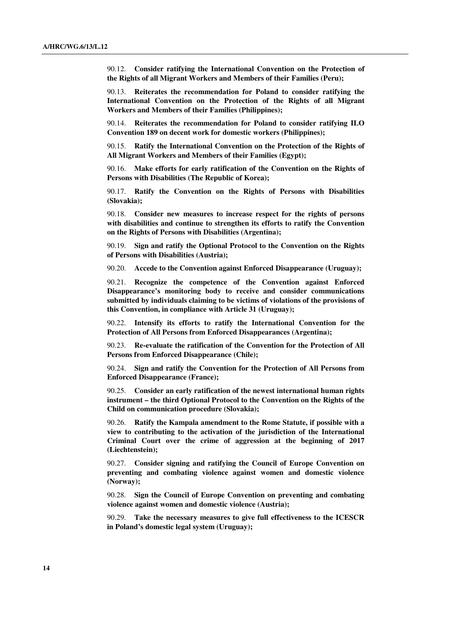90.12. **Consider ratifying the International Convention on the Protection of the Rights of all Migrant Workers and Members of their Families (Peru);** 

 90.13. **Reiterates the recommendation for Poland to consider ratifying the International Convention on the Protection of the Rights of all Migrant Workers and Members of their Families (Philippines);** 

 90.14. **Reiterates the recommendation for Poland to consider ratifying ILO Convention 189 on decent work for domestic workers (Philippines);** 

 90.15. **Ratify the International Convention on the Protection of the Rights of All Migrant Workers and Members of their Families (Egypt);** 

 90.16. **Make efforts for early ratification of the Convention on the Rights of Persons with Disabilities (The Republic of Korea);** 

 90.17. **Ratify the Convention on the Rights of Persons with Disabilities (Slovakia);** 

 90.18. **Consider new measures to increase respect for the rights of persons with disabilities and continue to strengthen its efforts to ratify the Convention on the Rights of Persons with Disabilities (Argentina);** 

 90.19. **Sign and ratify the Optional Protocol to the Convention on the Rights of Persons with Disabilities (Austria);** 

90.20. **Accede to the Convention against Enforced Disappearance (Uruguay);** 

 90.21. **Recognize the competence of the Convention against Enforced Disappearance's monitoring body to receive and consider communications submitted by individuals claiming to be victims of violations of the provisions of this Convention, in compliance with Article 31 (Uruguay);** 

 90.22. **Intensify its efforts to ratify the International Convention for the Protection of All Persons from Enforced Disappearances (Argentina);** 

 90.23. **Re-evaluate the ratification of the Convention for the Protection of All Persons from Enforced Disappearance (Chile);** 

 90.24. **Sign and ratify the Convention for the Protection of All Persons from Enforced Disappearance (France);** 

 90.25. **Consider an early ratification of the newest international human rights instrument – the third Optional Protocol to the Convention on the Rights of the Child on communication procedure (Slovakia);** 

 90.26. **Ratify the Kampala amendment to the Rome Statute, if possible with a view to contributing to the activation of the jurisdiction of the International Criminal Court over the crime of aggression at the beginning of 2017 (Liechtenstein);** 

 90.27. **Consider signing and ratifying the Council of Europe Convention on preventing and combating violence against women and domestic violence (Norway);** 

 90.28. **Sign the Council of Europe Convention on preventing and combating violence against women and domestic violence (Austria);** 

 90.29. **Take the necessary measures to give full effectiveness to the ICESCR in Poland's domestic legal system (Uruguay);**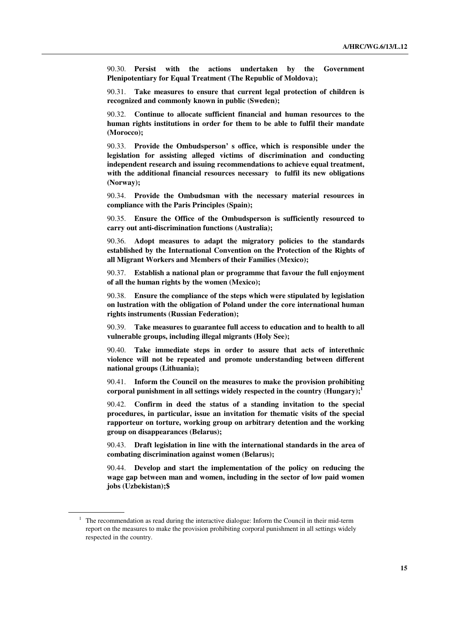90.30. **Persist with the actions undertaken by the Government Plenipotentiary for Equal Treatment (The Republic of Moldova);** 

 90.31. **Take measures to ensure that current legal protection of children is recognized and commonly known in public (Sweden);** 

 90.32. **Continue to allocate sufficient financial and human resources to the human rights institutions in order for them to be able to fulfil their mandate (Morocco);** 

 90.33. **Provide the Ombudsperson' s office, which is responsible under the legislation for assisting alleged victims of discrimination and conducting independent research and issuing recommendations to achieve equal treatment, with the additional financial resources necessary to fulfil its new obligations (Norway);** 

 90.34. **Provide the Ombudsman with the necessary material resources in compliance with the Paris Principles (Spain);** 

 90.35. **Ensure the Office of the Ombudsperson is sufficiently resourced to carry out anti-discrimination functions (Australia);** 

 90.36. **Adopt measures to adapt the migratory policies to the standards established by the International Convention on the Protection of the Rights of all Migrant Workers and Members of their Families (Mexico);** 

 90.37. **Establish a national plan or programme that favour the full enjoyment of all the human rights by the women (Mexico);** 

 90.38. **Ensure the compliance of the steps which were stipulated by legislation on lustration with the obligation of Poland under the core international human rights instruments (Russian Federation);** 

 90.39. **Take measures to guarantee full access to education and to health to all vulnerable groups, including illegal migrants (Holy See);** 

 90.40. **Take immediate steps in order to assure that acts of interethnic violence will not be repeated and promote understanding between different national groups (Lithuania);** 

 90.41. **Inform the Council on the measures to make the provision prohibiting corporal punishment in all settings widely respected in the country (Hungary);<sup>1</sup>**

 90.42. **Confirm in deed the status of a standing invitation to the special procedures, in particular, issue an invitation for thematic visits of the special rapporteur on torture, working group on arbitrary detention and the working group on disappearances (Belarus);** 

 90.43. **Draft legislation in line with the international standards in the area of combating discrimination against women (Belarus);** 

 90.44. **Develop and start the implementation of the policy on reducing the wage gap between man and women, including in the sector of low paid women jobs (Uzbekistan);\$** 

 $1$  The recommendation as read during the interactive dialogue: Inform the Council in their mid-term report on the measures to make the provision prohibiting corporal punishment in all settings widely respected in the country.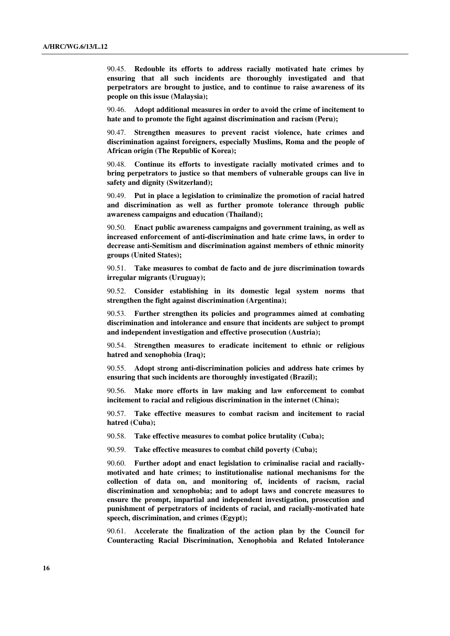90.45. **Redouble its efforts to address racially motivated hate crimes by ensuring that all such incidents are thoroughly investigated and that perpetrators are brought to justice, and to continue to raise awareness of its people on this issue (Malaysia);** 

 90.46. **Adopt additional measures in order to avoid the crime of incitement to hate and to promote the fight against discrimination and racism (Peru);** 

 90.47. **Strengthen measures to prevent racist violence, hate crimes and discrimination against foreigners, especially Muslims, Roma and the people of African origin (The Republic of Korea);** 

 90.48. **Continue its efforts to investigate racially motivated crimes and to bring perpetrators to justice so that members of vulnerable groups can live in safety and dignity (Switzerland);** 

 90.49. **Put in place a legislation to criminalize the promotion of racial hatred and discrimination as well as further promote tolerance through public awareness campaigns and education (Thailand);** 

 90.50. **Enact public awareness campaigns and government training, as well as increased enforcement of anti-discrimination and hate crime laws, in order to decrease anti-Semitism and discrimination against members of ethnic minority groups (United States);** 

 90.51. **Take measures to combat de facto and de jure discrimination towards irregular migrants (Uruguay);** 

 90.52. **Consider establishing in its domestic legal system norms that strengthen the fight against discrimination (Argentina);** 

 90.53. **Further strengthen its policies and programmes aimed at combating discrimination and intolerance and ensure that incidents are subject to prompt and independent investigation and effective prosecution (Austria);** 

 90.54. **Strengthen measures to eradicate incitement to ethnic or religious hatred and xenophobia (Iraq);** 

 90.55. **Adopt strong anti-discrimination policies and address hate crimes by ensuring that such incidents are thoroughly investigated (Brazil);** 

 90.56. **Make more efforts in law making and law enforcement to combat incitement to racial and religious discrimination in the internet (China);** 

 90.57. **Take effective measures to combat racism and incitement to racial hatred (Cuba);** 

90.58. **Take effective measures to combat police brutality (Cuba);** 

90.59. **Take effective measures to combat child poverty (Cuba);** 

 90.60. **Further adopt and enact legislation to criminalise racial and raciallymotivated and hate crimes; to institutionalise national mechanisms for the collection of data on, and monitoring of, incidents of racism, racial discrimination and xenophobia; and to adopt laws and concrete measures to ensure the prompt, impartial and independent investigation, prosecution and punishment of perpetrators of incidents of racial, and racially-motivated hate speech, discrimination, and crimes (Egypt);** 

 90.61. **Accelerate the finalization of the action plan by the Council for Counteracting Racial Discrimination, Xenophobia and Related Intolerance**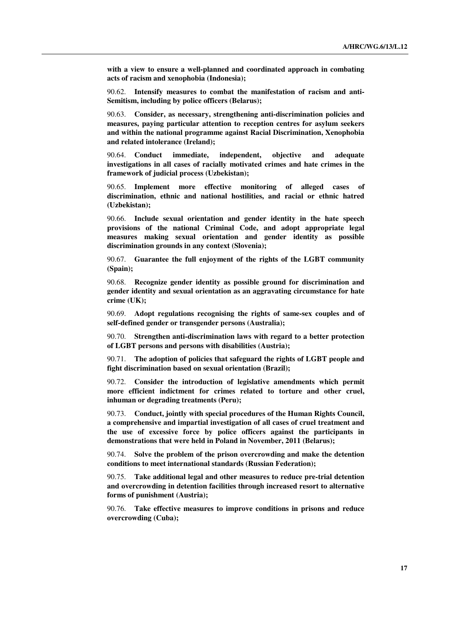**with a view to ensure a well-planned and coordinated approach in combating acts of racism and xenophobia (Indonesia);** 

 90.62. **Intensify measures to combat the manifestation of racism and anti-Semitism, including by police officers (Belarus);** 

 90.63. **Consider, as necessary, strengthening anti-discrimination policies and measures, paying particular attention to reception centres for asylum seekers and within the national programme against Racial Discrimination, Xenophobia and related intolerance (Ireland);** 

 90.64. **Conduct immediate, independent, objective and adequate investigations in all cases of racially motivated crimes and hate crimes in the framework of judicial process (Uzbekistan);** 

 90.65. **Implement more effective monitoring of alleged cases of discrimination, ethnic and national hostilities, and racial or ethnic hatred (Uzbekistan);** 

 90.66. **Include sexual orientation and gender identity in the hate speech provisions of the national Criminal Code, and adopt appropriate legal measures making sexual orientation and gender identity as possible discrimination grounds in any context (Slovenia);** 

 90.67. **Guarantee the full enjoyment of the rights of the LGBT community (Spain);** 

 90.68. **Recognize gender identity as possible ground for discrimination and gender identity and sexual orientation as an aggravating circumstance for hate crime (UK);** 

 90.69. **Adopt regulations recognising the rights of same-sex couples and of self-defined gender or transgender persons (Australia);** 

 90.70. **Strengthen anti-discrimination laws with regard to a better protection of LGBT persons and persons with disabilities (Austria);** 

 90.71. **The adoption of policies that safeguard the rights of LGBT people and fight discrimination based on sexual orientation (Brazil);** 

 90.72. **Consider the introduction of legislative amendments which permit more efficient indictment for crimes related to torture and other cruel, inhuman or degrading treatments (Peru);** 

 90.73. **Conduct, jointly with special procedures of the Human Rights Council, a comprehensive and impartial investigation of all cases of cruel treatment and the use of excessive force by police officers against the participants in demonstrations that were held in Poland in November, 2011 (Belarus);** 

 90.74. **Solve the problem of the prison overcrowding and make the detention conditions to meet international standards (Russian Federation);** 

 90.75. **Take additional legal and other measures to reduce pre-trial detention and overcrowding in detention facilities through increased resort to alternative forms of punishment (Austria);** 

 90.76. **Take effective measures to improve conditions in prisons and reduce overcrowding (Cuba);**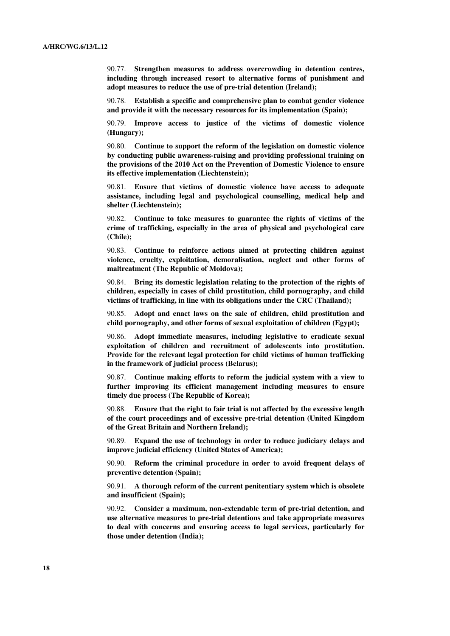90.77. **Strengthen measures to address overcrowding in detention centres, including through increased resort to alternative forms of punishment and adopt measures to reduce the use of pre-trial detention (Ireland);** 

 90.78. **Establish a specific and comprehensive plan to combat gender violence and provide it with the necessary resources for its implementation (Spain);** 

 90.79. **Improve access to justice of the victims of domestic violence (Hungary);** 

 90.80. **Continue to support the reform of the legislation on domestic violence by conducting public awareness-raising and providing professional training on the provisions of the 2010 Act on the Prevention of Domestic Violence to ensure its effective implementation (Liechtenstein);** 

 90.81. **Ensure that victims of domestic violence have access to adequate assistance, including legal and psychological counselling, medical help and shelter (Liechtenstein);** 

 90.82. **Continue to take measures to guarantee the rights of victims of the crime of trafficking, especially in the area of physical and psychological care (Chile);** 

 90.83. **Continue to reinforce actions aimed at protecting children against violence, cruelty, exploitation, demoralisation, neglect and other forms of maltreatment (The Republic of Moldova);** 

 90.84. **Bring its domestic legislation relating to the protection of the rights of children, especially in cases of child prostitution, child pornography, and child victims of trafficking, in line with its obligations under the CRC (Thailand);** 

 90.85. **Adopt and enact laws on the sale of children, child prostitution and child pornography, and other forms of sexual exploitation of children (Egypt);** 

 90.86. **Adopt immediate measures, including legislative to eradicate sexual exploitation of children and recruitment of adolescents into prostitution. Provide for the relevant legal protection for child victims of human trafficking in the framework of judicial process (Belarus);** 

 90.87. **Continue making efforts to reform the judicial system with a view to further improving its efficient management including measures to ensure timely due process (The Republic of Korea);** 

 90.88. **Ensure that the right to fair trial is not affected by the excessive length of the court proceedings and of excessive pre-trial detention (United Kingdom of the Great Britain and Northern Ireland);** 

 90.89. **Expand the use of technology in order to reduce judiciary delays and improve judicial efficiency (United States of America);** 

 90.90. **Reform the criminal procedure in order to avoid frequent delays of preventive detention (Spain);** 

 90.91. **A thorough reform of the current penitentiary system which is obsolete and insufficient (Spain);** 

 90.92. **Consider a maximum, non-extendable term of pre-trial detention, and use alternative measures to pre-trial detentions and take appropriate measures to deal with concerns and ensuring access to legal services, particularly for those under detention (India);**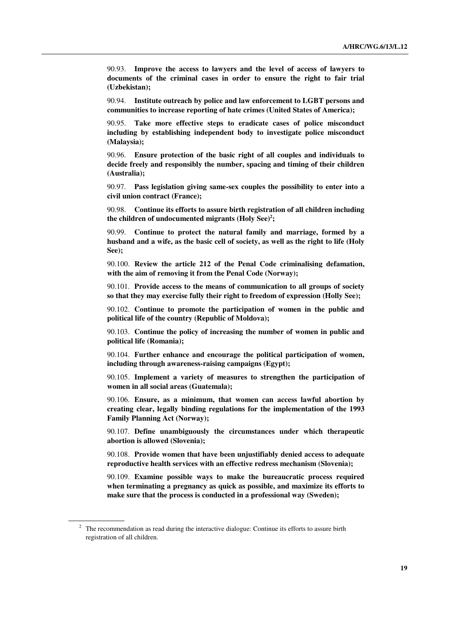90.93. **Improve the access to lawyers and the level of access of lawyers to documents of the criminal cases in order to ensure the right to fair trial (Uzbekistan);** 

 90.94. **Institute outreach by police and law enforcement to LGBT persons and communities to increase reporting of hate crimes (United States of America);** 

 90.95. **Take more effective steps to eradicate cases of police misconduct including by establishing independent body to investigate police misconduct (Malaysia);** 

 90.96. **Ensure protection of the basic right of all couples and individuals to decide freely and responsibly the number, spacing and timing of their children (Australia);** 

 90.97. **Pass legislation giving same-sex couples the possibility to enter into a civil union contract (France);** 

 90.98. **Continue its efforts to assure birth registration of all children including the children of undocumented migrants (Holy See)<sup>2</sup> ;** 

 90.99. **Continue to protect the natural family and marriage, formed by a husband and a wife, as the basic cell of society, as well as the right to life (Holy See);** 

 90.100. **Review the article 212 of the Penal Code criminalising defamation, with the aim of removing it from the Penal Code (Norway);** 

 90.101. **Provide access to the means of communication to all groups of society so that they may exercise fully their right to freedom of expression (Holly See);** 

 90.102. **Continue to promote the participation of women in the public and political life of the country (Republic of Moldova);** 

 90.103. **Continue the policy of increasing the number of women in public and political life (Romania);** 

 90.104. **Further enhance and encourage the political participation of women, including through awareness-raising campaigns (Egypt);** 

 90.105. **Implement a variety of measures to strengthen the participation of women in all social areas (Guatemala);** 

 90.106. **Ensure, as a minimum, that women can access lawful abortion by creating clear, legally binding regulations for the implementation of the 1993 Family Planning Act (Norway);** 

 90.107. **Define unambiguously the circumstances under which therapeutic abortion is allowed (Slovenia);** 

 90.108. **Provide women that have been unjustifiably denied access to adequate reproductive health services with an effective redress mechanism (Slovenia);** 

 90.109. **Examine possible ways to make the bureaucratic process required when terminating a pregnancy as quick as possible, and maximize its efforts to make sure that the process is conducted in a professional way (Sweden);** 

 $2<sup>2</sup>$  The recommendation as read during the interactive dialogue: Continue its efforts to assure birth registration of all children.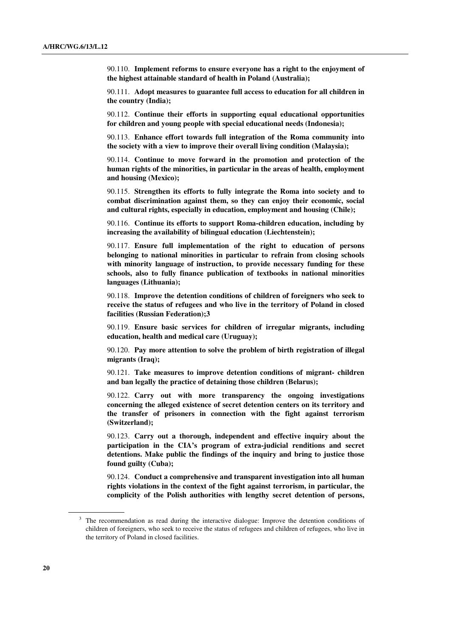90.110. **Implement reforms to ensure everyone has a right to the enjoyment of the highest attainable standard of health in Poland (Australia);** 

 90.111. **Adopt measures to guarantee full access to education for all children in the country (India);** 

 90.112. **Continue their efforts in supporting equal educational opportunities for children and young people with special educational needs (Indonesia);** 

 90.113. **Enhance effort towards full integration of the Roma community into the society with a view to improve their overall living condition (Malaysia);** 

 90.114. **Continue to move forward in the promotion and protection of the human rights of the minorities, in particular in the areas of health, employment and housing (Mexico);** 

 90.115. **Strengthen its efforts to fully integrate the Roma into society and to combat discrimination against them, so they can enjoy their economic, social and cultural rights, especially in education, employment and housing (Chile);** 

 90.116. **Continue its efforts to support Roma-children education, including by increasing the availability of bilingual education (Liechtenstein);** 

 90.117. **Ensure full implementation of the right to education of persons belonging to national minorities in particular to refrain from closing schools with minority language of instruction, to provide necessary funding for these schools, also to fully finance publication of textbooks in national minorities languages (Lithuania);** 

 90.118. **Improve the detention conditions of children of foreigners who seek to receive the status of refugees and who live in the territory of Poland in closed facilities (Russian Federation);3** 

 90.119. **Ensure basic services for children of irregular migrants, including education, health and medical care (Uruguay);** 

 90.120. **Pay more attention to solve the problem of birth registration of illegal migrants (Iraq);** 

 90.121. **Take measures to improve detention conditions of migrant- children and ban legally the practice of detaining those children (Belarus);** 

 90.122. **Carry out with more transparency the ongoing investigations concerning the alleged existence of secret detention centers on its territory and the transfer of prisoners in connection with the fight against terrorism (Switzerland);** 

 90.123. **Carry out a thorough, independent and effective inquiry about the participation in the CIA's program of extra-judicial renditions and secret detentions. Make public the findings of the inquiry and bring to justice those found guilty (Cuba);** 

 90.124. **Conduct a comprehensive and transparent investigation into all human rights violations in the context of the fight against terrorism, in particular, the complicity of the Polish authorities with lengthy secret detention of persons,** 

<sup>&</sup>lt;sup>3</sup> The recommendation as read during the interactive dialogue: Improve the detention conditions of children of foreigners, who seek to receive the status of refugees and children of refugees, who live in the territory of Poland in closed facilities.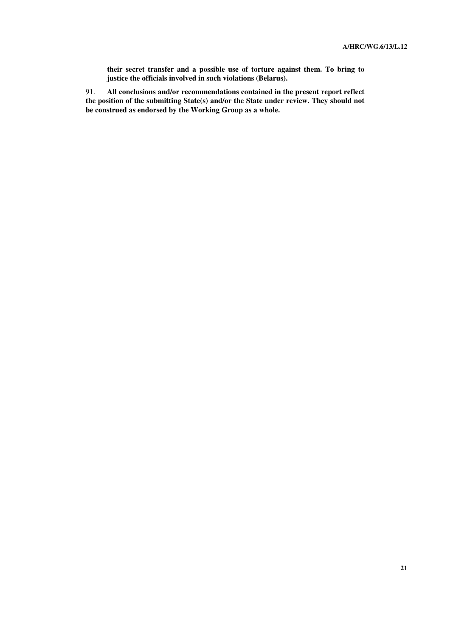**their secret transfer and a possible use of torture against them. To bring to justice the officials involved in such violations (Belarus).**

91. **All conclusions and/or recommendations contained in the present report reflect the position of the submitting State(s) and/or the State under review. They should not be construed as endorsed by the Working Group as a whole.**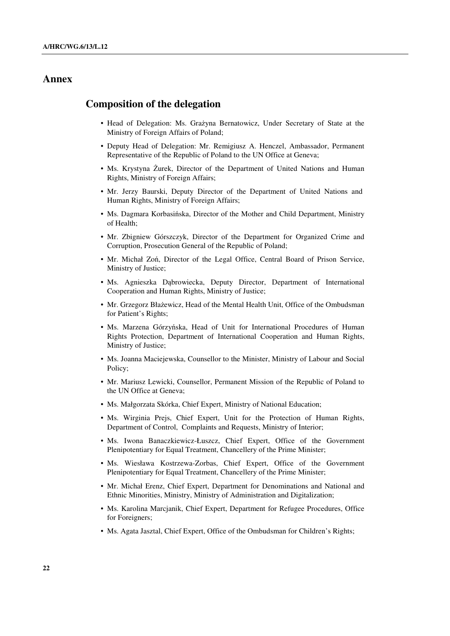## **Annex**

### **Composition of the delegation**

- Head of Delegation: Ms. Grażyna Bernatowicz, Under Secretary of State at the Ministry of Foreign Affairs of Poland;
- Deputy Head of Delegation: Mr. Remigiusz A. Henczel, Ambassador, Permanent Representative of the Republic of Poland to the UN Office at Geneva;
- Ms. Krystyna Żurek, Director of the Department of United Nations and Human Rights, Ministry of Foreign Affairs;
- Mr. Jerzy Baurski, Deputy Director of the Department of United Nations and Human Rights, Ministry of Foreign Affairs;
- Ms. Dagmara Korbasińska, Director of the Mother and Child Department, Ministry of Health;
- Mr. Zbigniew Górszczyk, Director of the Department for Organized Crime and Corruption, Prosecution General of the Republic of Poland;
- Mr. Michał Zoń, Director of the Legal Office, Central Board of Prison Service, Ministry of Justice;
- Ms. Agnieszka Dąbrowiecka, Deputy Director, Department of International Cooperation and Human Rights, Ministry of Justice;
- Mr. Grzegorz Błażewicz, Head of the Mental Health Unit, Office of the Ombudsman for Patient's Rights;
- Ms. Marzena Górzyńska, Head of Unit for International Procedures of Human Rights Protection, Department of International Cooperation and Human Rights, Ministry of Justice;
- Ms. Joanna Maciejewska, Counsellor to the Minister, Ministry of Labour and Social Policy;
- Mr. Mariusz Lewicki, Counsellor, Permanent Mission of the Republic of Poland to the UN Office at Geneva;
- Ms. Małgorzata Skórka, Chief Expert, Ministry of National Education;
- Ms. Wirginia Preis, Chief Expert, Unit for the Protection of Human Rights, Department of Control, Complaints and Requests, Ministry of Interior;
- Ms. Iwona Banaczkiewicz-Łuszcz, Chief Expert, Office of the Government Plenipotentiary for Equal Treatment, Chancellery of the Prime Minister;
- Ms. Wiesława Kostrzewa-Zorbas, Chief Expert, Office of the Government Plenipotentiary for Equal Treatment, Chancellery of the Prime Minister;
- Mr. Michał Erenz, Chief Expert, Department for Denominations and National and Ethnic Minorities, Ministry, Ministry of Administration and Digitalization;
- Ms. Karolina Marcjanik, Chief Expert, Department for Refugee Procedures, Office for Foreigners;
- Ms. Agata Jasztal, Chief Expert, Office of the Ombudsman for Children's Rights;